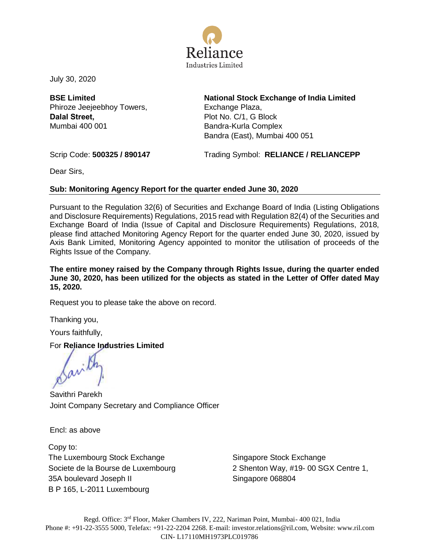

July 30, 2020

**BSE Limited** Phiroze Jeejeebhoy Towers, **Dalal Street,** Mumbai 400 001

**National Stock Exchange of India Limited** Exchange Plaza, Plot No. C/1, G Block Bandra-Kurla Complex Bandra (East), Mumbai 400 051

Scrip Code: **500325 / 890147** Trading Symbol: **RELIANCE / RELIANCEPP**

Dear Sirs,

# **Sub: Monitoring Agency Report for the quarter ended June 30, 2020**

Pursuant to the Regulation 32(6) of Securities and Exchange Board of India (Listing Obligations and Disclosure Requirements) Regulations, 2015 read with Regulation 82(4) of the Securities and Exchange Board of India (Issue of Capital and Disclosure Requirements) Regulations, 2018, please find attached Monitoring Agency Report for the quarter ended June 30, 2020, issued by Axis Bank Limited, Monitoring Agency appointed to monitor the utilisation of proceeds of the Rights Issue of the Company.

**The entire money raised by the Company through Rights Issue, during the quarter ended June 30, 2020, has been utilized for the objects as stated in the Letter of Offer dated May 15, 2020.** 

Request you to please take the above on record.

Thanking you,

Yours faithfully,

# For **Reliance Industries Limited**

Savithri Parekh Joint Company Secretary and Compliance Officer

Encl: as above

Copy to: The Luxembourg Stock Exchange Societe de la Bourse de Luxembourg 35A boulevard Joseph II B P 165, L-2011 Luxembourg

Singapore Stock Exchange 2 Shenton Way, #19- 00 SGX Centre 1, Singapore 068804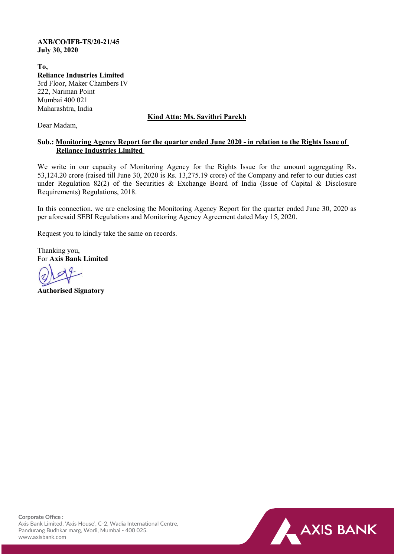#### **AXB/CO/IFB-TS/20-21/45 July 30, 2020**

**To, Reliance Industries Limited** 3rd Floor, Maker Chambers IV 222, Nariman Point Mumbai 400 021 Maharashtra, India

# **Kind Attn: Ms. Savithri Parekh**

Dear Madam,

# **Sub.: Monitoring Agency Report for the quarter ended June 2020 - in relation to the Rights Issue of Reliance Industries Limited**

We write in our capacity of Monitoring Agency for the Rights Issue for the amount aggregating Rs. 53,124.20 crore (raised till June 30, 2020 is Rs. 13,275.19 crore) of the Company and refer to our duties cast under Regulation 82(2) of the Securities & Exchange Board of India (Issue of Capital & Disclosure Requirements) Regulations, 2018.

In this connection, we are enclosing the Monitoring Agency Report for the quarter ended June 30, 2020 as per aforesaid SEBI Regulations and Monitoring Agency Agreement dated May 15, 2020.

Request you to kindly take the same on records.

Thanking you, For **Axis Bank Limited**

**Authorised Signatory**

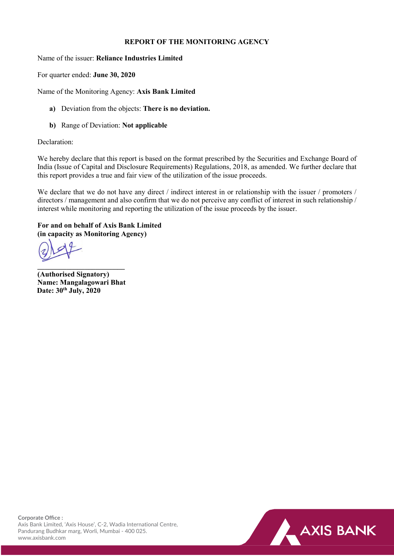### **REPORT OF THE MONITORING AGENCY**

Name of the issuer: **Reliance Industries Limited**

For quarter ended: **June 30, 2020**

Name of the Monitoring Agency: **Axis Bank Limited**

- **a)** Deviation from the objects: **There is no deviation.**
- **b)** Range of Deviation: **Not applicable**

#### Declaration:

We hereby declare that this report is based on the format prescribed by the Securities and Exchange Board of India (Issue of Capital and Disclosure Requirements) Regulations, 2018, as amended. We further declare that this report provides a true and fair view of the utilization of the issue proceeds.

We declare that we do not have any direct / indirect interest in or relationship with the issuer / promoters / directors / management and also confirm that we do not perceive any conflict of interest in such relationship / interest while monitoring and reporting the utilization of the issue proceeds by the issuer.

# **For and on behalf of Axis Bank Limited (in capacity as Monitoring Agency)**

**\_\_\_\_\_\_\_\_\_\_\_\_\_\_\_\_\_\_\_\_\_\_\_\_ (Authorised Signatory) Name: Mangalagowari Bhat Date: 30th July, 2020**

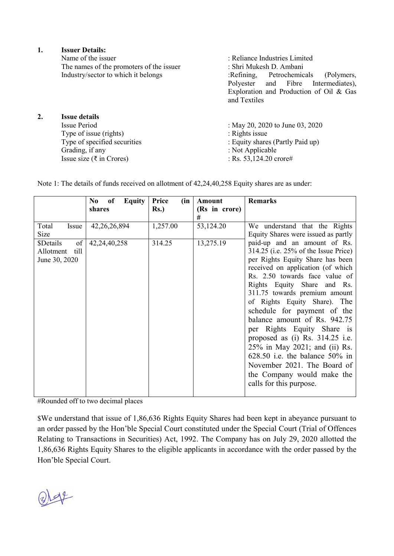|    | <b>Issuer Details:</b>                   |                                         |  |  |  |  |  |  |
|----|------------------------------------------|-----------------------------------------|--|--|--|--|--|--|
|    | Name of the issuer                       | : Reliance Industries Limited           |  |  |  |  |  |  |
|    | The names of the promoters of the issuer | : Shri Mukesh D. Ambani                 |  |  |  |  |  |  |
|    | Industry/sector to which it belongs      | :Refining, Petrochemicals<br>(Polymers, |  |  |  |  |  |  |
|    |                                          | Polyester and Fibre<br>Intermediates),  |  |  |  |  |  |  |
|    |                                          | Exploration and Production of Oil & Gas |  |  |  |  |  |  |
|    |                                          | and Textiles                            |  |  |  |  |  |  |
| 2. | <b>Issue details</b>                     |                                         |  |  |  |  |  |  |
|    | <b>Issue Period</b>                      | : May 20, 2020 to June 03, 2020         |  |  |  |  |  |  |
|    | Type of issue (rights)                   | : Rights issue                          |  |  |  |  |  |  |
|    | Type of specified securities             | : Equity shares (Partly Paid up)        |  |  |  |  |  |  |
|    | Grading, if any                          | : Not Applicable                        |  |  |  |  |  |  |
|    | Issue size ( $\overline{\xi}$ in Crores) | : Rs. $53,124.20$ crore#                |  |  |  |  |  |  |
|    |                                          |                                         |  |  |  |  |  |  |

Note 1: The details of funds received on allotment of 42,24,40,258 Equity shares are as under:

|                                                       | N <sub>0</sub><br><b>Equity</b><br>of<br>shares | Price<br>(in<br>Rs.) | Amount<br>(Rs in crore) | <b>Remarks</b>                                                                                                                                                                                                                                                                                                                                                                                                                                                                                                                                                                  |
|-------------------------------------------------------|-------------------------------------------------|----------------------|-------------------------|---------------------------------------------------------------------------------------------------------------------------------------------------------------------------------------------------------------------------------------------------------------------------------------------------------------------------------------------------------------------------------------------------------------------------------------------------------------------------------------------------------------------------------------------------------------------------------|
|                                                       |                                                 |                      | #                       |                                                                                                                                                                                                                                                                                                                                                                                                                                                                                                                                                                                 |
| Total<br>Issue<br>Size                                | 42, 26, 26, 894                                 | 1,257.00             | 53,124.20               | We understand that the Rights<br>Equity Shares were issued as partly                                                                                                                                                                                                                                                                                                                                                                                                                                                                                                            |
| of<br>\$Details<br>till<br>Allotment<br>June 30, 2020 | 42,24,40,258                                    | 314.25               | 13,275.19               | paid-up and an amount of Rs.<br>314.25 (i.e. 25% of the Issue Price)<br>per Rights Equity Share has been<br>received on application (of which<br>Rs. 2.50 towards face value of<br>Rights Equity Share and Rs.<br>311.75 towards premium amount<br>of Rights Equity Share). The<br>schedule for payment of the<br>balance amount of Rs. 942.75<br>per Rights Equity Share is<br>proposed as (i) Rs. 314.25 i.e.<br>25% in May 2021; and (ii) Rs.<br>$628.50$ i.e. the balance $50\%$ in<br>November 2021. The Board of<br>the Company would make the<br>calls for this purpose. |

#Rounded off to two decimal places

\$We understand that issue of 1,86,636 Rights Equity Shares had been kept in abeyance pursuant to an order passed by the Hon'ble Special Court constituted under the Special Court (Trial of Offences Relating to Transactions in Securities) Act, 1992. The Company has on July 29, 2020 allotted the 1,86,636 Rights Equity Shares to the eligible applicants in accordance with the order passed by the Hon'ble Special Court.

 $Q$   $Q$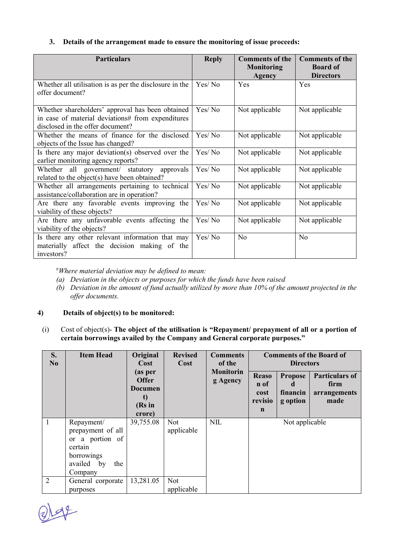# **3. Details of the arrangement made to ensure the monitoring of issue proceeds:**

| <b>Particulars</b>                                      | <b>Reply</b> | <b>Comments of the</b><br><b>Monitoring</b><br>Agency | <b>Comments of the</b><br><b>Board of</b><br><b>Directors</b> |
|---------------------------------------------------------|--------------|-------------------------------------------------------|---------------------------------------------------------------|
| Whether all utilisation is as per the disclosure in the | Yes/No       | Yes                                                   | Yes                                                           |
| offer document?                                         |              |                                                       |                                                               |
| Whether shareholders' approval has been obtained        | Yes/No       | Not applicable                                        | Not applicable                                                |
| in case of material deviations# from expenditures       |              |                                                       |                                                               |
| disclosed in the offer document?                        |              |                                                       |                                                               |
| Whether the means of finance for the disclosed          | Yes/No       | Not applicable                                        | Not applicable                                                |
| objects of the Issue has changed?                       |              |                                                       |                                                               |
| Is there any major deviation(s) observed over the       | Yes/No       | Not applicable                                        | Not applicable                                                |
| earlier monitoring agency reports?                      |              |                                                       |                                                               |
| Whether all government/ statutory approvals             | Yes/No       | Not applicable                                        | Not applicable                                                |
| related to the object(s) have been obtained?            |              |                                                       |                                                               |
| Whether all arrangements pertaining to technical        | Yes/No       | Not applicable                                        | Not applicable                                                |
| assistance/collaboration are in operation?              |              |                                                       |                                                               |
| Are there any favorable events improving the            | Yes/No       | Not applicable                                        | Not applicable                                                |
| viability of these objects?                             |              |                                                       |                                                               |
| Are there any unfavorable events affecting the          | Yes/No       | Not applicable                                        | Not applicable                                                |
| viability of the objects?                               |              |                                                       |                                                               |
| Is there any other relevant information that may        | Yes/No       | No                                                    | N <sub>o</sub>                                                |
| materially affect the decision making of the            |              |                                                       |                                                               |
| investors?                                              |              |                                                       |                                                               |

# *Where material deviation may be defined to mean:*

- *(a) Deviation in the objects or purposes for which the funds have been raised*
- *(b) Deviation in the amount of fund actually utilized by more than 10% of the amount projected in the offer documents.*

# **4) Details of object(s) to be monitored:**

(i) Cost of object(s)- **The object of the utilisation is "Repayment/ prepayment of all or a portion of certain borrowings availed by the Company and General corporate purposes."**

| S.<br>N <sub>0</sub> | <b>Item Head</b>                                                                                            | Original<br>Cost<br>(as per<br><b>Offer</b><br>Documen<br>t)<br>$(Rs)$ in<br>crore) | <b>Revised</b><br>Cost   | <b>Comments</b><br>of the<br><b>Monitorin</b><br>g Agency | <b>Comments of the Board of</b><br><b>Directors</b><br><b>Particulars of</b><br><b>Reaso</b><br><b>Propose</b><br>n of<br>firm<br>financin<br>arrangements<br>cost<br>revisio<br>g option<br>made<br>$\mathbf n$ |  |  |
|----------------------|-------------------------------------------------------------------------------------------------------------|-------------------------------------------------------------------------------------|--------------------------|-----------------------------------------------------------|------------------------------------------------------------------------------------------------------------------------------------------------------------------------------------------------------------------|--|--|
| 1                    | Repayment/<br>prepayment of all<br>or a portion of<br>certain<br>borrowings<br>availed by<br>the<br>Company | 39,755.08                                                                           | <b>Not</b><br>applicable | <b>NIL</b>                                                | Not applicable                                                                                                                                                                                                   |  |  |
| $\overline{2}$       | General corporate<br>purposes                                                                               | 13,281.05                                                                           | <b>Not</b><br>applicable |                                                           |                                                                                                                                                                                                                  |  |  |

 $Q) 44$